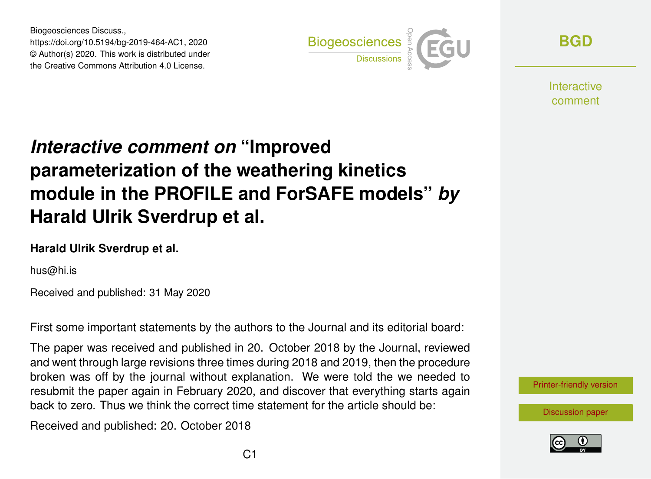Biogeosciences Discuss., https://doi.org/10.5194/bg-2019-464-AC1, 2020 © Author(s) 2020. This work is distributed under the Creative Commons Attribution 4.0 License.



**[BGD](https://www.biogeosciences-discuss.net/)**

**Interactive** comment

# *Interactive comment on* **"Improved parameterization of the weathering kinetics module in the PROFILE and ForSAFE models"** *by* **Harald Ulrik Sverdrup et al.**

#### **Harald Ulrik Sverdrup et al.**

hus@hi.is

Received and published: 31 May 2020

First some important statements by the authors to the Journal and its editorial board:

The paper was received and published in 20. October 2018 by the Journal, reviewed and went through large revisions three times during 2018 and 2019, then the procedure broken was off by the journal without explanation. We were told the we needed to resubmit the paper again in February 2020, and discover that everything starts again back to zero. Thus we think the correct time statement for the article should be:

Received and published: 20. October 2018

[Printer-friendly version](https://www.biogeosciences-discuss.net/bg-2019-464/bg-2019-464-AC1-print.pdf)

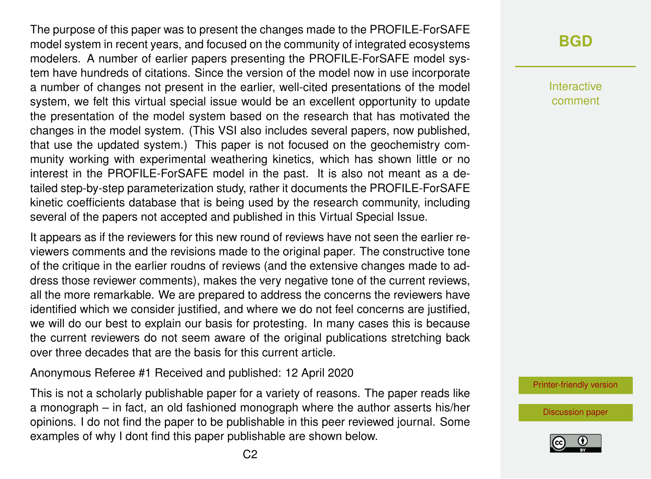The purpose of this paper was to present the changes made to the PROFILE-ForSAFE model system in recent years, and focused on the community of integrated ecosystems modelers. A number of earlier papers presenting the PROFILE-ForSAFE model system have hundreds of citations. Since the version of the model now in use incorporate a number of changes not present in the earlier, well-cited presentations of the model system, we felt this virtual special issue would be an excellent opportunity to update the presentation of the model system based on the research that has motivated the changes in the model system. (This VSI also includes several papers, now published, that use the updated system.) This paper is not focused on the geochemistry community working with experimental weathering kinetics, which has shown little or no interest in the PROFILE-ForSAFE model in the past. It is also not meant as a detailed step-by-step parameterization study, rather it documents the PROFILE-ForSAFE kinetic coefficients database that is being used by the research community, including several of the papers not accepted and published in this Virtual Special Issue.

It appears as if the reviewers for this new round of reviews have not seen the earlier reviewers comments and the revisions made to the original paper. The constructive tone of the critique in the earlier roudns of reviews (and the extensive changes made to address those reviewer comments), makes the very negative tone of the current reviews, all the more remarkable. We are prepared to address the concerns the reviewers have identified which we consider justified, and where we do not feel concerns are justified, we will do our best to explain our basis for protesting. In many cases this is because the current reviewers do not seem aware of the original publications stretching back over three decades that are the basis for this current article.

Anonymous Referee #1 Received and published: 12 April 2020

This is not a scholarly publishable paper for a variety of reasons. The paper reads like a monograph – in fact, an old fashioned monograph where the author asserts his/her opinions. I do not find the paper to be publishable in this peer reviewed journal. Some examples of why I dont find this paper publishable are shown below.

#### **[BGD](https://www.biogeosciences-discuss.net/)**

Interactive comment

[Printer-friendly version](https://www.biogeosciences-discuss.net/bg-2019-464/bg-2019-464-AC1-print.pdf)

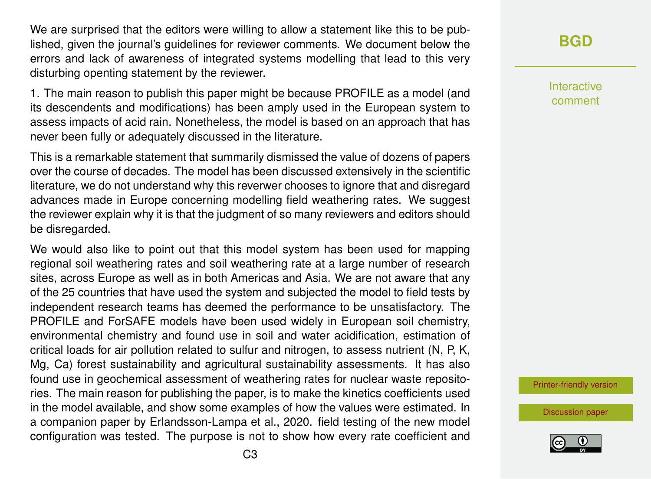We are surprised that the editors were willing to allow a statement like this to be published, given the journal's guidelines for reviewer comments. We document below the errors and lack of awareness of integrated systems modelling that lead to this very disturbing openting statement by the reviewer.

1. The main reason to publish this paper might be because PROFILE as a model (and its descendents and modifications) has been amply used in the European system to assess impacts of acid rain. Nonetheless, the model is based on an approach that has never been fully or adequately discussed in the literature.

This is a remarkable statement that summarily dismissed the value of dozens of papers over the course of decades. The model has been discussed extensively in the scientific literature, we do not understand why this reverwer chooses to ignore that and disregard advances made in Europe concerning modelling field weathering rates. We suggest the reviewer explain why it is that the judgment of so many reviewers and editors should be disregarded.

We would also like to point out that this model system has been used for mapping regional soil weathering rates and soil weathering rate at a large number of research sites, across Europe as well as in both Americas and Asia. We are not aware that any of the 25 countries that have used the system and subjected the model to field tests by independent research teams has deemed the performance to be unsatisfactory. The PROFILE and ForSAFE models have been used widely in European soil chemistry, environmental chemistry and found use in soil and water acidification, estimation of critical loads for air pollution related to sulfur and nitrogen, to assess nutrient (N, P, K, Mg, Ca) forest sustainability and agricultural sustainability assessments. It has also found use in geochemical assessment of weathering rates for nuclear waste repositories. The main reason for publishing the paper, is to make the kinetics coefficients used in the model available, and show some examples of how the values were estimated. In a companion paper by Erlandsson-Lampa et al., 2020. field testing of the new model configuration was tested. The purpose is not to show how every rate coefficient and **[BGD](https://www.biogeosciences-discuss.net/)**

Interactive comment

[Printer-friendly version](https://www.biogeosciences-discuss.net/bg-2019-464/bg-2019-464-AC1-print.pdf)

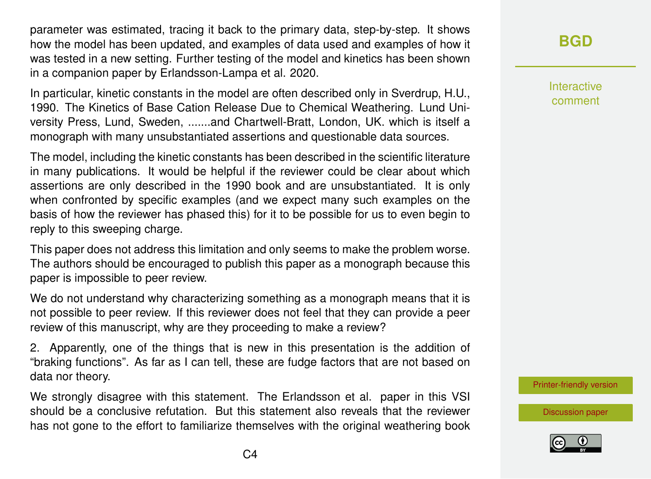parameter was estimated, tracing it back to the primary data, step-by-step. It shows how the model has been updated, and examples of data used and examples of how it was tested in a new setting. Further testing of the model and kinetics has been shown in a companion paper by Erlandsson-Lampa et al. 2020.

In particular, kinetic constants in the model are often described only in Sverdrup, H.U., 1990. The Kinetics of Base Cation Release Due to Chemical Weathering. Lund University Press, Lund, Sweden, .......and Chartwell-Bratt, London, UK. which is itself a monograph with many unsubstantiated assertions and questionable data sources.

The model, including the kinetic constants has been described in the scientific literature in many publications. It would be helpful if the reviewer could be clear about which assertions are only described in the 1990 book and are unsubstantiated. It is only when confronted by specific examples (and we expect many such examples on the basis of how the reviewer has phased this) for it to be possible for us to even begin to reply to this sweeping charge.

This paper does not address this limitation and only seems to make the problem worse. The authors should be encouraged to publish this paper as a monograph because this paper is impossible to peer review.

We do not understand why characterizing something as a monograph means that it is not possible to peer review. If this reviewer does not feel that they can provide a peer review of this manuscript, why are they proceeding to make a review?

2. Apparently, one of the things that is new in this presentation is the addition of "braking functions". As far as I can tell, these are fudge factors that are not based on data nor theory.

We strongly disagree with this statement. The Erlandsson et al. paper in this VSI should be a conclusive refutation. But this statement also reveals that the reviewer has not gone to the effort to familiarize themselves with the original weathering book

### **[BGD](https://www.biogeosciences-discuss.net/)**

Interactive comment

[Printer-friendly version](https://www.biogeosciences-discuss.net/bg-2019-464/bg-2019-464-AC1-print.pdf)

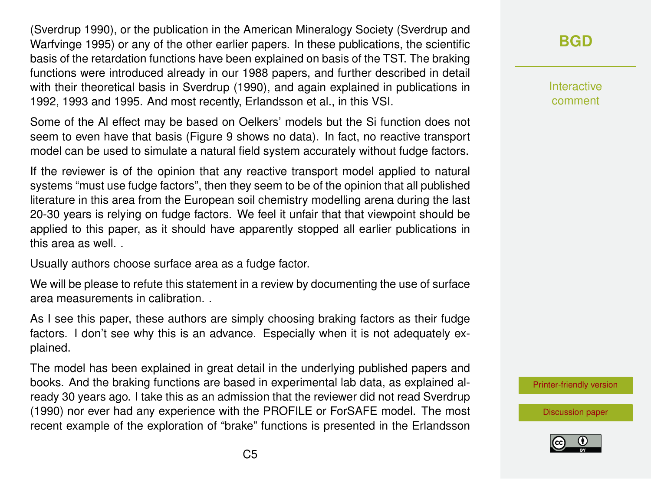(Sverdrup 1990), or the publication in the American Mineralogy Society (Sverdrup and Warfvinge 1995) or any of the other earlier papers. In these publications, the scientific basis of the retardation functions have been explained on basis of the TST. The braking functions were introduced already in our 1988 papers, and further described in detail with their theoretical basis in Sverdrup (1990), and again explained in publications in 1992, 1993 and 1995. And most recently, Erlandsson et al., in this VSI.

Some of the Al effect may be based on Oelkers' models but the Si function does not seem to even have that basis (Figure 9 shows no data). In fact, no reactive transport model can be used to simulate a natural field system accurately without fudge factors.

If the reviewer is of the opinion that any reactive transport model applied to natural systems "must use fudge factors", then they seem to be of the opinion that all published literature in this area from the European soil chemistry modelling arena during the last 20-30 years is relying on fudge factors. We feel it unfair that that viewpoint should be applied to this paper, as it should have apparently stopped all earlier publications in this area as well

Usually authors choose surface area as a fudge factor.

We will be please to refute this statement in a review by documenting the use of surface area measurements in calibration. .

As I see this paper, these authors are simply choosing braking factors as their fudge factors. I don't see why this is an advance. Especially when it is not adequately explained.

The model has been explained in great detail in the underlying published papers and books. And the braking functions are based in experimental lab data, as explained already 30 years ago. I take this as an admission that the reviewer did not read Sverdrup (1990) nor ever had any experience with the PROFILE or ForSAFE model. The most recent example of the exploration of "brake" functions is presented in the Erlandsson

Interactive comment

[Printer-friendly version](https://www.biogeosciences-discuss.net/bg-2019-464/bg-2019-464-AC1-print.pdf)

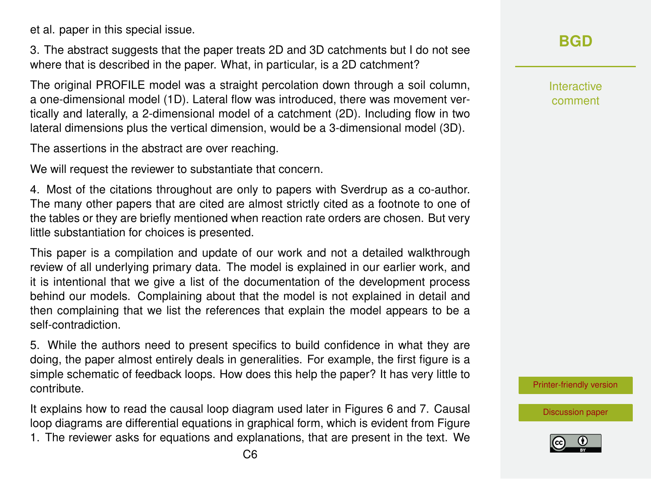et al. paper in this special issue.

3. The abstract suggests that the paper treats 2D and 3D catchments but I do not see where that is described in the paper. What, in particular, is a 2D catchment?

The original PROFILE model was a straight percolation down through a soil column, a one-dimensional model (1D). Lateral flow was introduced, there was movement vertically and laterally, a 2-dimensional model of a catchment (2D). Including flow in two lateral dimensions plus the vertical dimension, would be a 3-dimensional model (3D).

The assertions in the abstract are over reaching.

We will request the reviewer to substantiate that concern.

4. Most of the citations throughout are only to papers with Sverdrup as a co-author. The many other papers that are cited are almost strictly cited as a footnote to one of the tables or they are briefly mentioned when reaction rate orders are chosen. But very little substantiation for choices is presented.

This paper is a compilation and update of our work and not a detailed walkthrough review of all underlying primary data. The model is explained in our earlier work, and it is intentional that we give a list of the documentation of the development process behind our models. Complaining about that the model is not explained in detail and then complaining that we list the references that explain the model appears to be a self-contradiction.

5. While the authors need to present specifics to build confidence in what they are doing, the paper almost entirely deals in generalities. For example, the first figure is a simple schematic of feedback loops. How does this help the paper? It has very little to contribute.

It explains how to read the causal loop diagram used later in Figures 6 and 7. Causal loop diagrams are differential equations in graphical form, which is evident from Figure 1. The reviewer asks for equations and explanations, that are present in the text. We Interactive comment

[Printer-friendly version](https://www.biogeosciences-discuss.net/bg-2019-464/bg-2019-464-AC1-print.pdf)

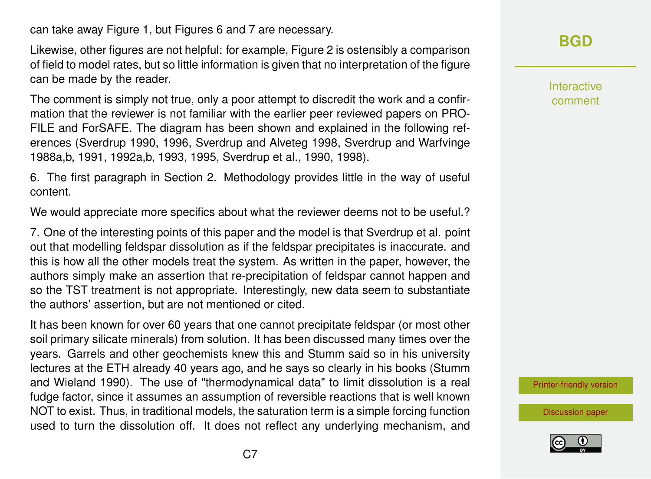can take away Figure 1, but Figures 6 and 7 are necessary.

Likewise, other figures are not helpful: for example, Figure 2 is ostensibly a comparison of field to model rates, but so little information is given that no interpretation of the figure can be made by the reader.

The comment is simply not true, only a poor attempt to discredit the work and a confirmation that the reviewer is not familiar with the earlier peer reviewed papers on PRO-FILE and ForSAFE. The diagram has been shown and explained in the following references (Sverdrup 1990, 1996, Sverdrup and Alveteg 1998, Sverdrup and Warfvinge 1988a,b, 1991, 1992a,b, 1993, 1995, Sverdrup et al., 1990, 1998).

6. The first paragraph in Section 2. Methodology provides little in the way of useful content.

We would appreciate more specifics about what the reviewer deems not to be useful.?

7. One of the interesting points of this paper and the model is that Sverdrup et al. point out that modelling feldspar dissolution as if the feldspar precipitates is inaccurate. and this is how all the other models treat the system. As written in the paper, however, the authors simply make an assertion that re-precipitation of feldspar cannot happen and so the TST treatment is not appropriate. Interestingly, new data seem to substantiate the authors' assertion, but are not mentioned or cited.

It has been known for over 60 years that one cannot precipitate feldspar (or most other soil primary silicate minerals) from solution. It has been discussed many times over the years. Garrels and other geochemists knew this and Stumm said so in his university lectures at the ETH already 40 years ago, and he says so clearly in his books (Stumm and Wieland 1990). The use of "thermodynamical data" to limit dissolution is a real fudge factor, since it assumes an assumption of reversible reactions that is well known NOT to exist. Thus, in traditional models, the saturation term is a simple forcing function used to turn the dissolution off. It does not reflect any underlying mechanism, and

### **[BGD](https://www.biogeosciences-discuss.net/)**

Interactive comment

[Printer-friendly version](https://www.biogeosciences-discuss.net/bg-2019-464/bg-2019-464-AC1-print.pdf)

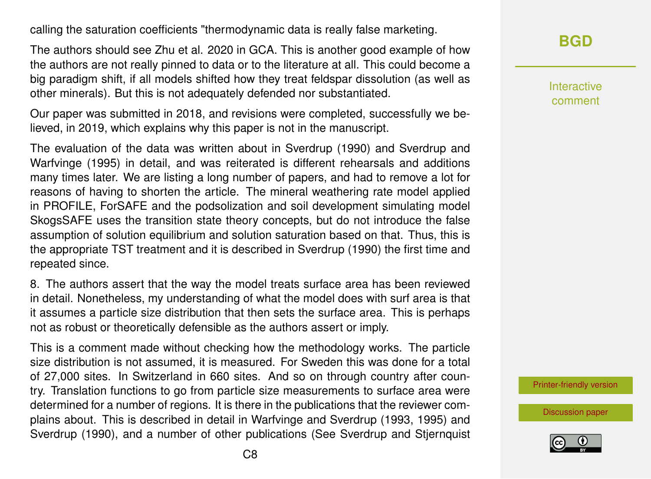calling the saturation coefficients "thermodynamic data is really false marketing.

The authors should see Zhu et al. 2020 in GCA. This is another good example of how the authors are not really pinned to data or to the literature at all. This could become a big paradigm shift, if all models shifted how they treat feldspar dissolution (as well as other minerals). But this is not adequately defended nor substantiated.

Our paper was submitted in 2018, and revisions were completed, successfully we believed, in 2019, which explains why this paper is not in the manuscript.

The evaluation of the data was written about in Sverdrup (1990) and Sverdrup and Warfvinge (1995) in detail, and was reiterated is different rehearsals and additions many times later. We are listing a long number of papers, and had to remove a lot for reasons of having to shorten the article. The mineral weathering rate model applied in PROFILE, ForSAFE and the podsolization and soil development simulating model SkogsSAFE uses the transition state theory concepts, but do not introduce the false assumption of solution equilibrium and solution saturation based on that. Thus, this is the appropriate TST treatment and it is described in Sverdrup (1990) the first time and repeated since.

8. The authors assert that the way the model treats surface area has been reviewed in detail. Nonetheless, my understanding of what the model does with surf area is that it assumes a particle size distribution that then sets the surface area. This is perhaps not as robust or theoretically defensible as the authors assert or imply.

This is a comment made without checking how the methodology works. The particle size distribution is not assumed, it is measured. For Sweden this was done for a total of 27,000 sites. In Switzerland in 660 sites. And so on through country after country. Translation functions to go from particle size measurements to surface area were determined for a number of regions. It is there in the publications that the reviewer complains about. This is described in detail in Warfvinge and Sverdrup (1993, 1995) and Sverdrup (1990), and a number of other publications (See Sverdrup and Stjernquist Interactive comment

[Printer-friendly version](https://www.biogeosciences-discuss.net/bg-2019-464/bg-2019-464-AC1-print.pdf)

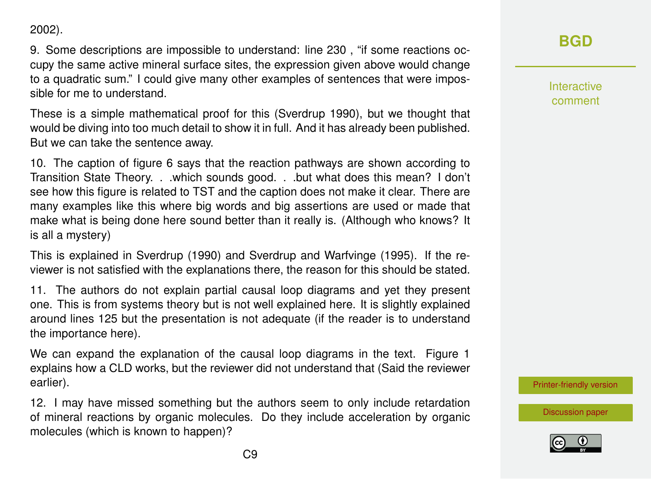2002).

9. Some descriptions are impossible to understand: line 230 , "if some reactions occupy the same active mineral surface sites, the expression given above would change to a quadratic sum." I could give many other examples of sentences that were impossible for me to understand.

These is a simple mathematical proof for this (Sverdrup 1990), but we thought that would be diving into too much detail to show it in full. And it has already been published. But we can take the sentence away.

10. The caption of figure 6 says that the reaction pathways are shown according to Transition State Theory. . .which sounds good. . .but what does this mean? I don't see how this figure is related to TST and the caption does not make it clear. There are many examples like this where big words and big assertions are used or made that make what is being done here sound better than it really is. (Although who knows? It is all a mystery)

This is explained in Sverdrup (1990) and Sverdrup and Warfvinge (1995). If the reviewer is not satisfied with the explanations there, the reason for this should be stated.

11. The authors do not explain partial causal loop diagrams and yet they present one. This is from systems theory but is not well explained here. It is slightly explained around lines 125 but the presentation is not adequate (if the reader is to understand the importance here).

We can expand the explanation of the causal loop diagrams in the text. Figure 1 explains how a CLD works, but the reviewer did not understand that (Said the reviewer earlier).

12. I may have missed something but the authors seem to only include retardation of mineral reactions by organic molecules. Do they include acceleration by organic molecules (which is known to happen)?

**[BGD](https://www.biogeosciences-discuss.net/)**

Interactive comment

[Printer-friendly version](https://www.biogeosciences-discuss.net/bg-2019-464/bg-2019-464-AC1-print.pdf)

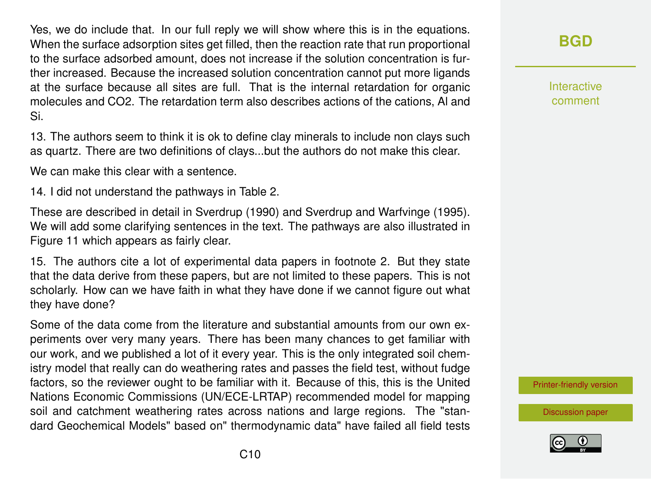Yes, we do include that. In our full reply we will show where this is in the equations. When the surface adsorption sites get filled, then the reaction rate that run proportional to the surface adsorbed amount, does not increase if the solution concentration is further increased. Because the increased solution concentration cannot put more ligands at the surface because all sites are full. That is the internal retardation for organic molecules and CO2. The retardation term also describes actions of the cations, Al and Si.

13. The authors seem to think it is ok to define clay minerals to include non clays such as quartz. There are two definitions of clays...but the authors do not make this clear.

We can make this clear with a sentence.

14. I did not understand the pathways in Table 2.

These are described in detail in Sverdrup (1990) and Sverdrup and Warfvinge (1995). We will add some clarifying sentences in the text. The pathways are also illustrated in Figure 11 which appears as fairly clear.

15. The authors cite a lot of experimental data papers in footnote 2. But they state that the data derive from these papers, but are not limited to these papers. This is not scholarly. How can we have faith in what they have done if we cannot figure out what they have done?

Some of the data come from the literature and substantial amounts from our own experiments over very many years. There has been many chances to get familiar with our work, and we published a lot of it every year. This is the only integrated soil chemistry model that really can do weathering rates and passes the field test, without fudge factors, so the reviewer ought to be familiar with it. Because of this, this is the United Nations Economic Commissions (UN/ECE-LRTAP) recommended model for mapping soil and catchment weathering rates across nations and large regions. The "standard Geochemical Models" based on" thermodynamic data" have failed all field tests **[BGD](https://www.biogeosciences-discuss.net/)**

Interactive comment

[Printer-friendly version](https://www.biogeosciences-discuss.net/bg-2019-464/bg-2019-464-AC1-print.pdf)

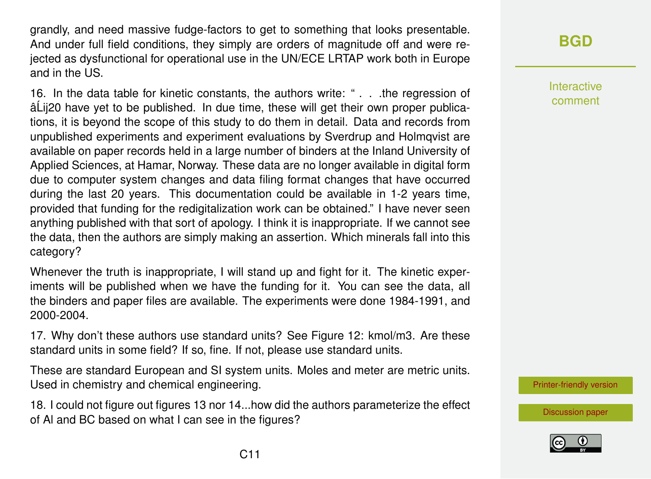grandly, and need massive fudge-factors to get to something that looks presentable. And under full field conditions, they simply are orders of magnitude off and were rejected as dysfunctional for operational use in the UN/ECE LRTAP work both in Europe and in the US.

16. In the data table for kinetic constants, the authors write: " . . .the regression of â Lii20 have vet to be published. In due time, these will get their own proper publications, it is beyond the scope of this study to do them in detail. Data and records from unpublished experiments and experiment evaluations by Sverdrup and Holmqvist are available on paper records held in a large number of binders at the Inland University of Applied Sciences, at Hamar, Norway. These data are no longer available in digital form due to computer system changes and data filing format changes that have occurred during the last 20 years. This documentation could be available in 1-2 years time, provided that funding for the redigitalization work can be obtained." I have never seen anything published with that sort of apology. I think it is inappropriate. If we cannot see the data, then the authors are simply making an assertion. Which minerals fall into this category?

Whenever the truth is inappropriate, I will stand up and fight for it. The kinetic experiments will be published when we have the funding for it. You can see the data, all the binders and paper files are available. The experiments were done 1984-1991, and 2000-2004.

17. Why don't these authors use standard units? See Figure 12: kmol/m3. Are these standard units in some field? If so, fine. If not, please use standard units.

These are standard European and SI system units. Moles and meter are metric units. Used in chemistry and chemical engineering.

18. I could not figure out figures 13 nor 14...how did the authors parameterize the effect of Al and BC based on what I can see in the figures?

## **[BGD](https://www.biogeosciences-discuss.net/)**

Interactive comment

[Printer-friendly version](https://www.biogeosciences-discuss.net/bg-2019-464/bg-2019-464-AC1-print.pdf)

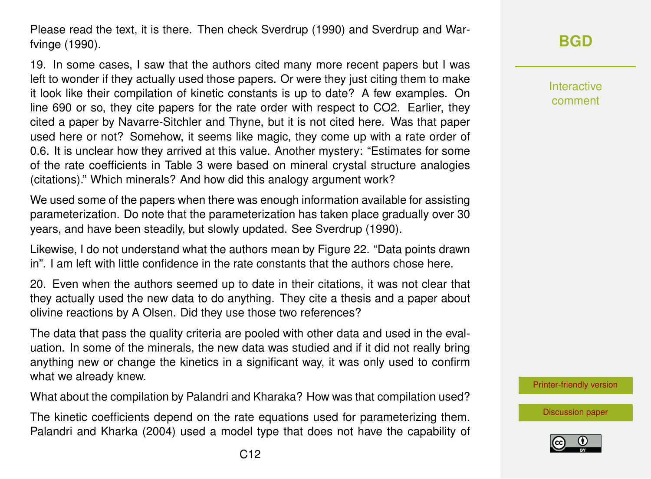Please read the text, it is there. Then check Sverdrup (1990) and Sverdrup and Warfvinge (1990).

19. In some cases, I saw that the authors cited many more recent papers but I was left to wonder if they actually used those papers. Or were they just citing them to make it look like their compilation of kinetic constants is up to date? A few examples. On line 690 or so, they cite papers for the rate order with respect to CO2. Earlier, they cited a paper by Navarre-Sitchler and Thyne, but it is not cited here. Was that paper used here or not? Somehow, it seems like magic, they come up with a rate order of 0.6. It is unclear how they arrived at this value. Another mystery: "Estimates for some of the rate coefficients in Table 3 were based on mineral crystal structure analogies (citations)." Which minerals? And how did this analogy argument work?

We used some of the papers when there was enough information available for assisting parameterization. Do note that the parameterization has taken place gradually over 30 years, and have been steadily, but slowly updated. See Sverdrup (1990).

Likewise, I do not understand what the authors mean by Figure 22. "Data points drawn in". I am left with little confidence in the rate constants that the authors chose here.

20. Even when the authors seemed up to date in their citations, it was not clear that they actually used the new data to do anything. They cite a thesis and a paper about olivine reactions by A Olsen. Did they use those two references?

The data that pass the quality criteria are pooled with other data and used in the evaluation. In some of the minerals, the new data was studied and if it did not really bring anything new or change the kinetics in a significant way, it was only used to confirm what we already knew.

What about the compilation by Palandri and Kharaka? How was that compilation used?

The kinetic coefficients depend on the rate equations used for parameterizing them. Palandri and Kharka (2004) used a model type that does not have the capability of Interactive comment

[Printer-friendly version](https://www.biogeosciences-discuss.net/bg-2019-464/bg-2019-464-AC1-print.pdf)

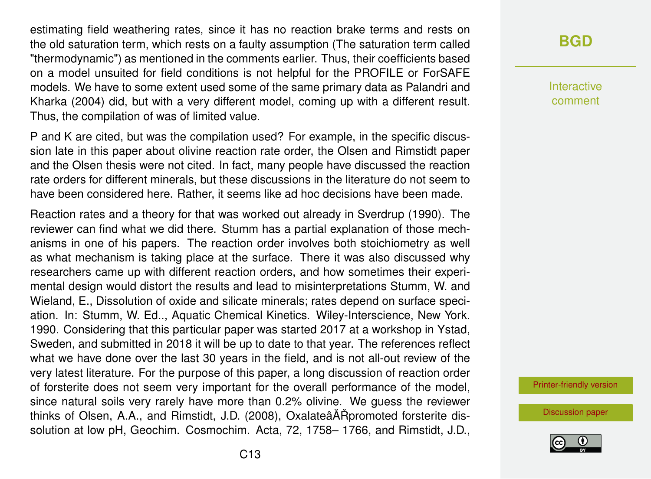estimating field weathering rates, since it has no reaction brake terms and rests on the old saturation term, which rests on a faulty assumption (The saturation term called "thermodynamic") as mentioned in the comments earlier. Thus, their coefficients based on a model unsuited for field conditions is not helpful for the PROFILE or ForSAFE models. We have to some extent used some of the same primary data as Palandri and Kharka (2004) did, but with a very different model, coming up with a different result. Thus, the compilation of was of limited value.

P and K are cited, but was the compilation used? For example, in the specific discussion late in this paper about olivine reaction rate order, the Olsen and Rimstidt paper and the Olsen thesis were not cited. In fact, many people have discussed the reaction rate orders for different minerals, but these discussions in the literature do not seem to have been considered here. Rather, it seems like ad hoc decisions have been made.

Reaction rates and a theory for that was worked out already in Sverdrup (1990). The reviewer can find what we did there. Stumm has a partial explanation of those mechanisms in one of his papers. The reaction order involves both stoichiometry as well as what mechanism is taking place at the surface. There it was also discussed why researchers came up with different reaction orders, and how sometimes their experimental design would distort the results and lead to misinterpretations Stumm, W. and Wieland, E., Dissolution of oxide and silicate minerals; rates depend on surface speciation. In: Stumm, W. Ed.., Aquatic Chemical Kinetics. Wiley-Interscience, New York. 1990. Considering that this particular paper was started 2017 at a workshop in Ystad, Sweden, and submitted in 2018 it will be up to date to that year. The references reflect what we have done over the last 30 years in the field, and is not all-out review of the very latest literature. For the purpose of this paper, a long discussion of reaction order of forsterite does not seem very important for the overall performance of the model, since natural soils very rarely have more than 0.2% olivine. We guess the reviewer thinks of Olsen, A.A., and Rimstidt, J.D. (2008), OxalateâĂŘpromoted forsterite dissolution at low pH, Geochim. Cosmochim. Acta, 72, 1758– 1766, and Rimstidt, J.D.,

### **[BGD](https://www.biogeosciences-discuss.net/)**

Interactive comment

[Printer-friendly version](https://www.biogeosciences-discuss.net/bg-2019-464/bg-2019-464-AC1-print.pdf)